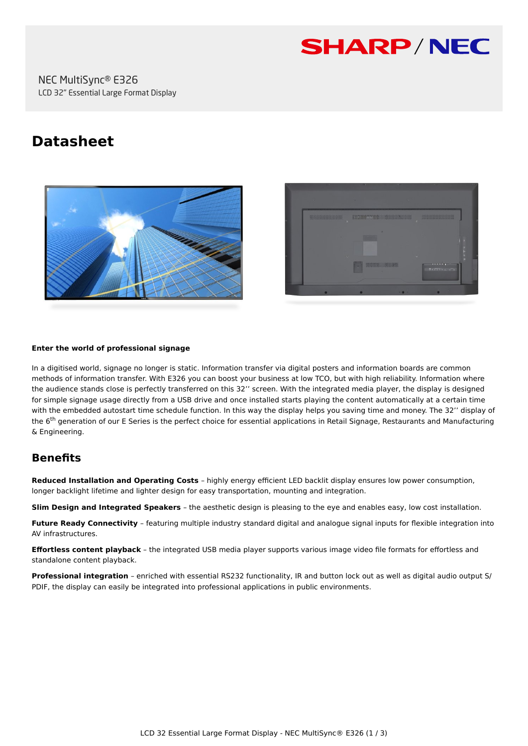

# **Datasheet**





#### **Enter the world of professional signage**

In a digitised world, signage no longer is static. Information transfer via digital posters and information boards are common methods of information transfer. With E326 you can boost your business at low TCO, but with high reliability. Information where the audience stands close is perfectly transferred on this 32'' screen. With the integrated media player, the display is designed for simple signage usage directly from a USB drive and once installed starts playing the content automatically at a certain time with the embedded autostart time schedule function. In this way the display helps you saving time and money. The 32'' display of the 6<sup>th</sup> generation of our E Series is the perfect choice for essential applications in Retail Signage, Restaurants and Manufacturing & Engineering.

## **Benefits**

**Reduced Installation and Operating Costs** – highly energy efficient LED backlit display ensures low power consumption, longer backlight lifetime and lighter design for easy transportation, mounting and integration.

**Slim Design and Integrated Speakers** – the aesthetic design is pleasing to the eye and enables easy, low cost installation.

**Future Ready Connectivity** – featuring multiple industry standard digital and analogue signal inputs for flexible integration into AV infrastructures.

**Effortless content playback** – the integrated USB media player supports various image video file formats for effortless and standalone content playback.

**Professional integration** – enriched with essential RS232 functionality, IR and button lock out as well as digital audio output S/ PDIF, the display can easily be integrated into professional applications in public environments.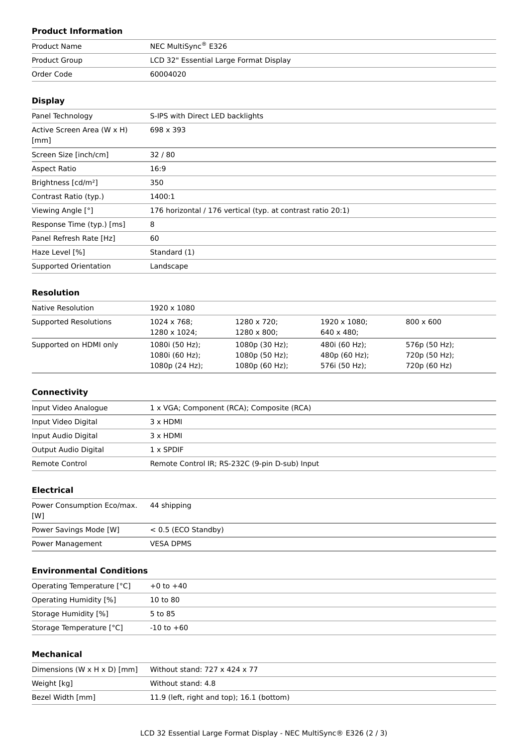## **Product Information**

| <b>Product Name</b> | NEC MultiSync® E326                    |
|---------------------|----------------------------------------|
| Product Group       | LCD 32" Essential Large Format Display |
| Order Code          | 60004020                               |

## **Display**

| Panel Technology                | S-IPS with Direct LED backlights                            |
|---------------------------------|-------------------------------------------------------------|
| Active Screen Area (W x H)      | 698 x 393                                                   |
| [mm]                            |                                                             |
| Screen Size [inch/cm]           | 32/80                                                       |
| Aspect Ratio                    | 16:9                                                        |
| Brightness [cd/m <sup>2</sup> ] | 350                                                         |
| Contrast Ratio (typ.)           | 1400:1                                                      |
| Viewing Angle [°]               | 176 horizontal / 176 vertical (typ. at contrast ratio 20:1) |
| Response Time (typ.) [ms]       | 8                                                           |
| Panel Refresh Rate [Hz]         | 60                                                          |
| Haze Level [%]                  | Standard (1)                                                |
| Supported Orientation           | Landscape                                                   |
|                                 |                                                             |

## **Resolution**

| Native Resolution      | 1920 x 1080         |                     |                    |                  |  |
|------------------------|---------------------|---------------------|--------------------|------------------|--|
| Supported Resolutions  | $1024 \times 768$ ; | 1280 x 720;         | 1920 x 1080;       | $800 \times 600$ |  |
|                        | 1280 x 1024;        | $1280 \times 800$ ; | $640 \times 480$ : |                  |  |
| Supported on HDMI only | 1080i (50 Hz);      | 1080p (30 Hz);      | 480i (60 Hz);      | 576p (50 Hz);    |  |
|                        | 1080i (60 Hz);      | $1080p(50 Hz)$ ;    | 480p (60 Hz);      | 720p (50 Hz);    |  |
|                        | 1080p(24 Hz);       | 1080p(60 Hz);       | 576i (50 Hz);      | 720p (60 Hz)     |  |

#### **Connectivity**

| Input Video Analogue | 1 x VGA; Component (RCA); Composite (RCA)      |
|----------------------|------------------------------------------------|
| Input Video Digital  | 3 x HDMI                                       |
| Input Audio Digital  | 3 x HDMI                                       |
| Output Audio Digital | $1 \times$ SPDIF                               |
| Remote Control       | Remote Control IR; RS-232C (9-pin D-sub) Input |

## **Electrical**

| Power Consumption Eco/max. 44 shipping<br>[W] |                       |
|-----------------------------------------------|-----------------------|
| Power Savings Mode [W]                        | $< 0.5$ (ECO Standby) |
| Power Management                              | <b>VESA DPMS</b>      |

## **Environmental Conditions**

| Operating Temperature [°C] | $+0$ to $+40$  |  |
|----------------------------|----------------|--|
| Operating Humidity [%]     | 10 to 80       |  |
| Storage Humidity [%]       | 5 to 85        |  |
| Storage Temperature [°C]   | $-10$ to $+60$ |  |

### **Mechanical**

| Dimensions $(W \times H \times D)$ [mm] | Without stand: 727 x 424 x 77             |
|-----------------------------------------|-------------------------------------------|
| Weight [kg]                             | Without stand: 4.8                        |
| Bezel Width [mm]                        | 11.9 (left, right and top); 16.1 (bottom) |